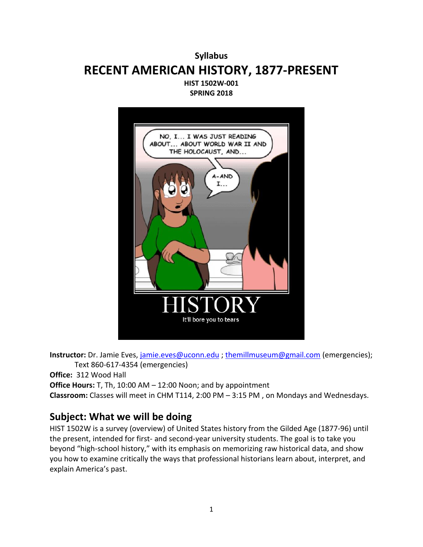# **Syllabus RECENT AMERICAN HISTORY, 1877-PRESENT HIST 1502W-001**

**SPRING 2018**



**Instructor:** Dr. Jamie Eves, [jamie.eves@uconn.edu](mailto:jamie.eves@uconn.edu) ; [themillmuseum@gmail.com](mailto:themillmuseum@gmail.com) (emergencies); Text 860-617-4354 (emergencies)

**Office:** 312 Wood Hall

**Office Hours:** T, Th, 10:00 AM – 12:00 Noon; and by appointment

**Classroom:** Classes will meet in CHM T114, 2:00 PM – 3:15 PM , on Mondays and Wednesdays.

## **Subject: What we will be doing**

HIST 1502W is a survey (overview) of United States history from the Gilded Age (1877-96) until the present, intended for first- and second-year university students. The goal is to take you beyond "high-school history," with its emphasis on memorizing raw historical data, and show you how to examine critically the ways that professional historians learn about, interpret, and explain America's past.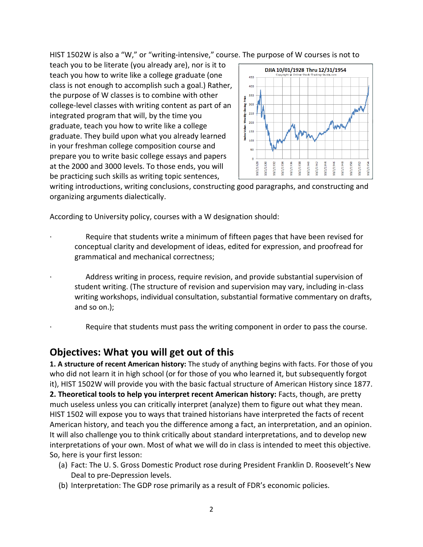HIST 1502W is also a "W," or "writing-intensive," course. The purpose of W courses is not to

teach you to be literate (you already are), nor is it to teach you how to write like a college graduate (one class is not enough to accomplish such a goal.) Rather, the purpose of W classes is to combine with other college-level classes with writing content as part of an integrated program that will, by the time you graduate, teach you how to write like a college graduate. They build upon what you already learned in your freshman college composition course and prepare you to write basic college essays and papers at the 2000 and 3000 levels. To those ends, you will be practicing such skills as writing topic sentences,



writing introductions, writing conclusions, constructing good paragraphs, and constructing and organizing arguments dialectically.

According to University policy, courses with a W designation should:

- Require that students write a minimum of fifteen pages that have been revised for conceptual clarity and development of ideas, edited for expression, and proofread for grammatical and mechanical correctness;
- Address writing in process, require revision, and provide substantial supervision of student writing. (The structure of revision and supervision may vary, including in-class writing workshops, individual consultation, substantial formative commentary on drafts, and so on.);
- Require that students must pass the writing component in order to pass the course.

## **Objectives: What you will get out of this**

**1. A structure of recent American history:** The study of anything begins with facts. For those of you who did not learn it in high school (or for those of you who learned it, but subsequently forgot it), HIST 1502W will provide you with the basic factual structure of American History since 1877. **2. Theoretical tools to help you interpret recent American history:** Facts, though, are pretty much useless unless you can critically interpret (analyze) them to figure out what they mean. HIST 1502 will expose you to ways that trained historians have interpreted the facts of recent American history, and teach you the difference among a fact, an interpretation, and an opinion. It will also challenge you to think critically about standard interpretations, and to develop new interpretations of your own. Most of what we will do in class is intended to meet this objective. So, here is your first lesson:

- (a) Fact: The U. S. Gross Domestic Product rose during President Franklin D. Roosevelt's New Deal to pre-Depression levels.
- (b) Interpretation: The GDP rose primarily as a result of FDR's economic policies.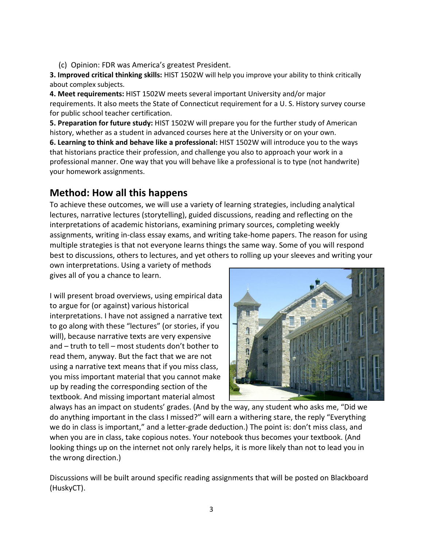(c) Opinion: FDR was America's greatest President.

**3. Improved critical thinking skills:** HIST 1502W will help you improve your ability to think critically about complex subjects.

**4. Meet requirements:** HIST 1502W meets several important University and/or major requirements. It also meets the State of Connecticut requirement for a U. S. History survey course for public school teacher certification.

**5. Preparation for future study:** HIST 1502W will prepare you for the further study of American history, whether as a student in advanced courses here at the University or on your own.

**6. Learning to think and behave like a professional:** HIST 1502W will introduce you to the ways that historians practice their profession, and challenge you also to approach your work in a professional manner. One way that you will behave like a professional is to type (not handwrite) your homework assignments.

# **Method: How all this happens**

To achieve these outcomes, we will use a variety of learning strategies, including analytical lectures, narrative lectures (storytelling), guided discussions, reading and reflecting on the interpretations of academic historians, examining primary sources, completing weekly assignments, writing in-class essay exams, and writing take-home papers. The reason for using multiple strategies is that not everyone learns things the same way. Some of you will respond best to discussions, others to lectures, and yet others to rolling up your sleeves and writing your

own interpretations. Using a variety of methods gives all of you a chance to learn.

I will present broad overviews, using empirical data to argue for (or against) various historical interpretations. I have not assigned a narrative text to go along with these "lectures" (or stories, if you will), because narrative texts are very expensive and – truth to tell – most students don't bother to read them, anyway. But the fact that we are not using a narrative text means that if you miss class, you miss important material that you cannot make up by reading the corresponding section of the textbook. And missing important material almost



always has an impact on students' grades. (And by the way, any student who asks me, "Did we do anything important in the class I missed?" will earn a withering stare, the reply "Everything we do in class is important," and a letter-grade deduction.) The point is: don't miss class, and when you are in class, take copious notes. Your notebook thus becomes your textbook. (And looking things up on the internet not only rarely helps, it is more likely than not to lead you in the wrong direction.)

Discussions will be built around specific reading assignments that will be posted on Blackboard (HuskyCT).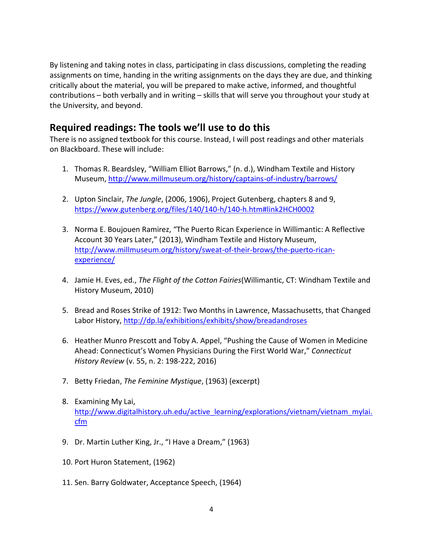By listening and taking notes in class, participating in class discussions, completing the reading assignments on time, handing in the writing assignments on the days they are due, and thinking critically about the material, you will be prepared to make active, informed, and thoughtful contributions – both verbally and in writing – skills that will serve you throughout your study at the University, and beyond.

# **Required readings: The tools we'll use to do this**

There is no assigned textbook for this course. Instead, I will post readings and other materials on Blackboard. These will include:

- 1. Thomas R. Beardsley, "William Elliot Barrows," (n. d.), Windham Textile and History Museum,<http://www.millmuseum.org/history/captains-of-industry/barrows/>
- 2. Upton Sinclair, *The Jungle*, (2006, 1906), Project Gutenberg, chapters 8 and 9, <https://www.gutenberg.org/files/140/140-h/140-h.htm#link2HCH0002>
- 3. Norma E. Boujouen Ramirez, "The Puerto Rican Experience in Willimantic: A Reflective Account 30 Years Later," (2013), Windham Textile and History Museum, [http://www.millmuseum.org/history/sweat-of-their-brows/the-puerto-rican](http://www.millmuseum.org/history/sweat-of-their-brows/the-puerto-rican-experience/)[experience/](http://www.millmuseum.org/history/sweat-of-their-brows/the-puerto-rican-experience/)
- 4. Jamie H. Eves, ed., *The Flight of the Cotton Fairies*(Willimantic, CT: Windham Textile and History Museum, 2010)
- 5. Bread and Roses Strike of 1912: Two Months in Lawrence, Massachusetts, that Changed Labor History,<http://dp.la/exhibitions/exhibits/show/breadandroses>
- 6. Heather Munro Prescott and Toby A. Appel, "Pushing the Cause of Women in Medicine Ahead: Connecticut's Women Physicians During the First World War," *Connecticut History Review* (v. 55, n. 2: 198-222, 2016)
- 7. Betty Friedan, *The Feminine Mystique*, (1963) (excerpt)
- 8. Examining My Lai, [http://www.digitalhistory.uh.edu/active\\_learning/explorations/vietnam/vietnam\\_mylai.](http://www.digitalhistory.uh.edu/active_learning/explorations/vietnam/vietnam_mylai.cfm) [cfm](http://www.digitalhistory.uh.edu/active_learning/explorations/vietnam/vietnam_mylai.cfm)
- 9. Dr. Martin Luther King, Jr., "I Have a Dream," (1963)
- 10. Port Huron Statement, (1962)
- 11. Sen. Barry Goldwater, Acceptance Speech, (1964)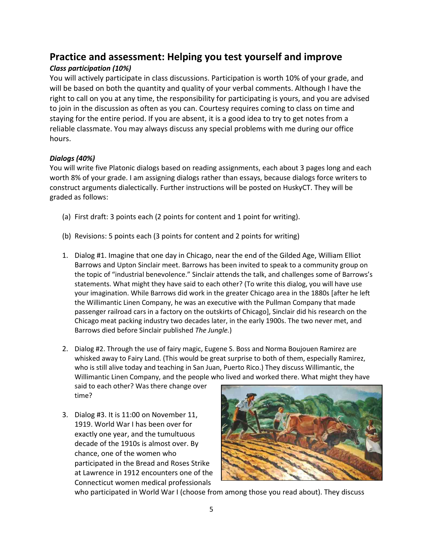## **Practice and assessment: Helping you test yourself and improve**

### *Class participation (10%)*

You will actively participate in class discussions. Participation is worth 10% of your grade, and will be based on both the quantity and quality of your verbal comments. Although I have the right to call on you at any time, the responsibility for participating is yours, and you are advised to join in the discussion as often as you can. Courtesy requires coming to class on time and staying for the entire period. If you are absent, it is a good idea to try to get notes from a reliable classmate. You may always discuss any special problems with me during our office hours.

#### *Dialogs (40%)*

You will write five Platonic dialogs based on reading assignments, each about 3 pages long and each worth 8% of your grade. I am assigning dialogs rather than essays, because dialogs force writers to construct arguments dialectically. Further instructions will be posted on HuskyCT. They will be graded as follows:

- (a) First draft: 3 points each (2 points for content and 1 point for writing).
- (b) Revisions: 5 points each (3 points for content and 2 points for writing)
- 1. Dialog #1. Imagine that one day in Chicago, near the end of the Gilded Age, William Elliot Barrows and Upton Sinclair meet. Barrows has been invited to speak to a community group on the topic of "industrial benevolence." Sinclair attends the talk, and challenges some of Barrows's statements. What might they have said to each other? (To write this dialog, you will have use your imagination. While Barrows did work in the greater Chicago area in the 1880s [after he left the Willimantic Linen Company, he was an executive with the Pullman Company that made passenger railroad cars in a factory on the outskirts of Chicago], Sinclair did his research on the Chicago meat packing industry two decades later, in the early 1900s. The two never met, and Barrows died before Sinclair published *The Jungle.*)
- 2. Dialog #2. Through the use of fairy magic, Eugene S. Boss and Norma Boujouen Ramirez are whisked away to Fairy Land. (This would be great surprise to both of them, especially Ramirez, who is still alive today and teaching in San Juan, Puerto Rico.) They discuss Willimantic, the Willimantic Linen Company, and the people who lived and worked there. What might they have

said to each other? Was there change over time?

3. Dialog #3. It is 11:00 on November 11, 1919. World War I has been over for exactly one year, and the tumultuous decade of the 1910s is almost over. By chance, one of the women who participated in the Bread and Roses Strike at Lawrence in 1912 encounters one of the Connecticut women medical professionals



who participated in World War I (choose from among those you read about). They discuss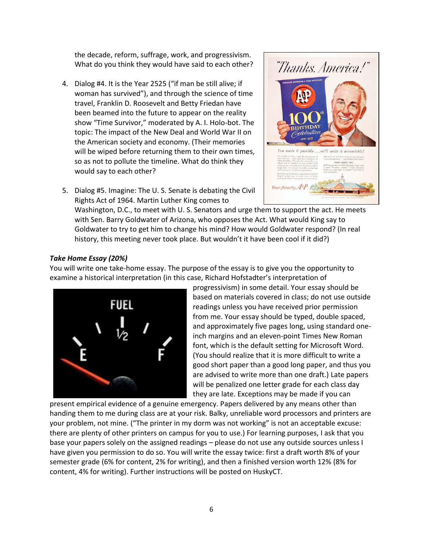the decade, reform, suffrage, work, and progressivism. What do you think they would have said to each other?

- 4. Dialog #4. It is the Year 2525 ("if man be still alive; if woman has survived"), and through the science of time travel, Franklin D. Roosevelt and Betty Friedan have been beamed into the future to appear on the reality show "Time Survivor," moderated by A. I. Holo-bot. The topic: The impact of the New Deal and World War II on the American society and economy. (Their memories will be wiped before returning them to their own times, so as not to pollute the timeline. What do think they would say to each other?
- *Thanks. America!*" made it possible...we'll make it memorable.
- 5. Dialog #5. Imagine: The U. S. Senate is debating the Civil Rights Act of 1964. Martin Luther King comes to

Washington, D.C., to meet with U. S. Senators and urge them to support the act. He meets with Sen. Barry Goldwater of Arizona, who opposes the Act. What would King say to Goldwater to try to get him to change his mind? How would Goldwater respond? (In real history, this meeting never took place. But wouldn't it have been cool if it did?)

#### *Take Home Essay (20%)*

You will write one take-home essay. The purpose of the essay is to give you the opportunity to examine a historical interpretation (in this case, Richard Hofstadter's interpretation of



progressivism) in some detail. Your essay should be based on materials covered in class; do not use outside readings unless you have received prior permission from me. Your essay should be typed, double spaced, and approximately five pages long, using standard oneinch margins and an eleven-point Times New Roman font, which is the default setting for Microsoft Word. (You should realize that it is more difficult to write a good short paper than a good long paper, and thus you are advised to write more than one draft.) Late papers will be penalized one letter grade for each class day they are late. Exceptions may be made if you can

present empirical evidence of a genuine emergency. Papers delivered by any means other than handing them to me during class are at your risk. Balky, unreliable word processors and printers are your problem, not mine. ("The printer in my dorm was not working" is not an acceptable excuse: there are plenty of other printers on campus for you to use.) For learning purposes, I ask that you base your papers solely on the assigned readings – please do not use any outside sources unless I have given you permission to do so. You will write the essay twice: first a draft worth 8% of your semester grade (6% for content, 2% for writing), and then a finished version worth 12% (8% for content, 4% for writing). Further instructions will be posted on HuskyCT.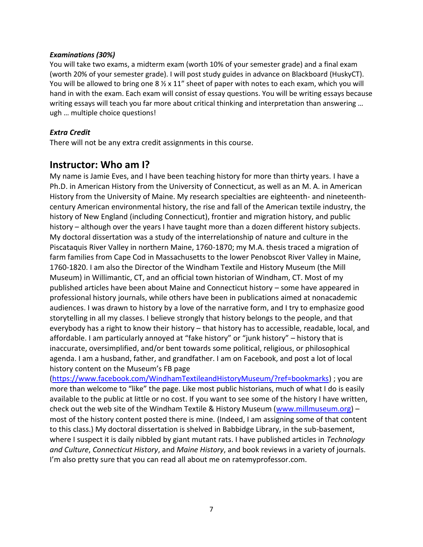#### *Examinations (30%)*

You will take two exams, a midterm exam (worth 10% of your semester grade) and a final exam (worth 20% of your semester grade). I will post study guides in advance on Blackboard (HuskyCT). You will be allowed to bring one 8  $\frac{1}{2}$  x 11" sheet of paper with notes to each exam, which you will hand in with the exam. Each exam will consist of essay questions. You will be writing essays because writing essays will teach you far more about critical thinking and interpretation than answering ... ugh … multiple choice questions!

#### *Extra Credit*

There will not be any extra credit assignments in this course.

## **Instructor: Who am I?**

My name is Jamie Eves, and I have been teaching history for more than thirty years. I have a Ph.D. in American History from the University of Connecticut, as well as an M. A. in American History from the University of Maine. My research specialties are eighteenth- and nineteenthcentury American environmental history, the rise and fall of the American textile industry, the history of New England (including Connecticut), frontier and migration history, and public history – although over the years I have taught more than a dozen different history subjects. My doctoral dissertation was a study of the interrelationship of nature and culture in the Piscataquis River Valley in northern Maine, 1760-1870; my M.A. thesis traced a migration of farm families from Cape Cod in Massachusetts to the lower Penobscot River Valley in Maine, 1760-1820. I am also the Director of the Windham Textile and History Museum (the Mill Museum) in Willimantic, CT, and an official town historian of Windham, CT. Most of my published articles have been about Maine and Connecticut history – some have appeared in professional history journals, while others have been in publications aimed at nonacademic audiences. I was drawn to history by a love of the narrative form, and I try to emphasize good storytelling in all my classes. I believe strongly that history belongs to the people, and that everybody has a right to know their history – that history has to accessible, readable, local, and affordable. I am particularly annoyed at "fake history" or "junk history" – history that is inaccurate, oversimplified, and/or bent towards some political, religious, or philosophical agenda. I am a husband, father, and grandfather. I am on Facebook, and post a lot of local history content on the Museum's FB page

[\(https://www.facebook.com/WindhamTextileandHistoryMuseum/?ref=bookmarks\)](https://www.facebook.com/WindhamTextileandHistoryMuseum/?ref=bookmarks) ; you are more than welcome to "like" the page. Like most public historians, much of what I do is easily available to the public at little or no cost. If you want to see some of the history I have written, check out the web site of the Windham Textile & History Museum [\(www.millmuseum.org\)](http://www.millmuseum.org/) – most of the history content posted there is mine. (Indeed, I am assigning some of that content to this class.) My doctoral dissertation is shelved in Babbidge Library, in the sub-basement, where I suspect it is daily nibbled by giant mutant rats. I have published articles in *Technology and Culture*, *Connecticut History*, and *Maine History*, and book reviews in a variety of journals. I'm also pretty sure that you can read all about me on ratemyprofessor.com.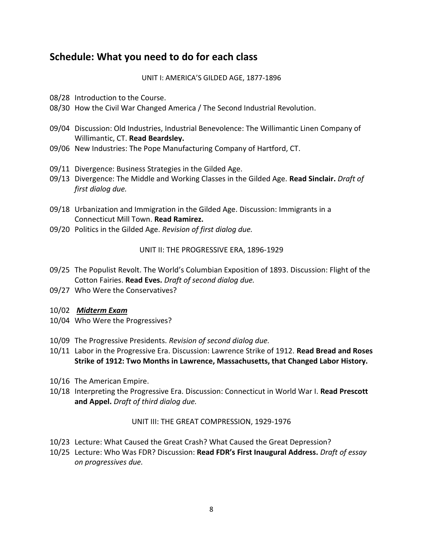# **Schedule: What you need to do for each class**

UNIT I: AMERICA'S GILDED AGE, 1877-1896

- 08/28 Introduction to the Course.
- 08/30 How the Civil War Changed America / The Second Industrial Revolution.
- 09/04 Discussion: Old Industries, Industrial Benevolence: The Willimantic Linen Company of Willimantic, CT. **Read Beardsley.**
- 09/06 New Industries: The Pope Manufacturing Company of Hartford, CT.
- 09/11 Divergence: Business Strategies in the Gilded Age.
- 09/13 Divergence: The Middle and Working Classes in the Gilded Age. **Read Sinclair.** *Draft of first dialog due.*
- 09/18 Urbanization and Immigration in the Gilded Age. Discussion: Immigrants in a Connecticut Mill Town. **Read Ramirez.**
- 09/20 Politics in the Gilded Age. *Revision of first dialog due.*

### UNIT II: THE PROGRESSIVE ERA, 1896-1929

- 09/25 The Populist Revolt. The World's Columbian Exposition of 1893. Discussion: Flight of the Cotton Fairies. **Read Eves.** *Draft of second dialog due.*
- 09/27 Who Were the Conservatives?
- 10/02 *Midterm Exam*
- 10/04 Who Were the Progressives?
- 10/09 The Progressive Presidents. *Revision of second dialog due.*
- 10/11 Labor in the Progressive Era. Discussion: Lawrence Strike of 1912. **Read Bread and Roses Strike of 1912: Two Months in Lawrence, Massachusetts, that Changed Labor History.**
- 10/16 The American Empire.
- 10/18 Interpreting the Progressive Era. Discussion: Connecticut in World War I. **Read Prescott and Appel.** *Draft of third dialog due.*

### UNIT III: THE GREAT COMPRESSION, 1929-1976

- 10/23 Lecture: What Caused the Great Crash? What Caused the Great Depression?
- 10/25 Lecture: Who Was FDR? Discussion: **Read FDR's First Inaugural Address.** *Draft of essay on progressives due.*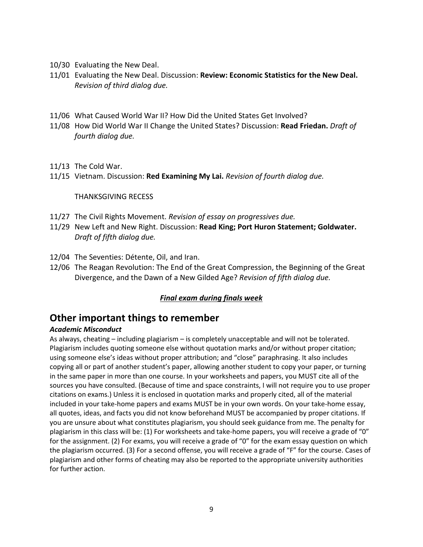- 10/30 Evaluating the New Deal.
- 11/01 Evaluating the New Deal. Discussion: **Review: Economic Statistics for the New Deal.**  *Revision of third dialog due.*
- 11/06 What Caused World War II? How Did the United States Get Involved?
- 11/08 How Did World War II Change the United States? Discussion: **Read Friedan.** *Draft of fourth dialog due.*
- 11/13 The Cold War.
- 11/15 Vietnam. Discussion: **Red Examining My Lai.** *Revision of fourth dialog due.*

#### THANKSGIVING RECESS

- 11/27 The Civil Rights Movement. *Revision of essay on progressives due.*
- 11/29 New Left and New Right. Discussion: **Read King; Port Huron Statement; Goldwater.**  *Draft of fifth dialog due.*
- 12/04 The Seventies: Détente, Oil, and Iran.
- 12/06 The Reagan Revolution: The End of the Great Compression, the Beginning of the Great Divergence, and the Dawn of a New Gilded Age? *Revision of fifth dialog due.*

#### *Final exam during finals week*

### **Other important things to remember**

#### *Academic Misconduct*

As always, cheating – including plagiarism – is completely unacceptable and will not be tolerated. Plagiarism includes quoting someone else without quotation marks and/or without proper citation; using someone else's ideas without proper attribution; and "close" paraphrasing. It also includes copying all or part of another student's paper, allowing another student to copy your paper, or turning in the same paper in more than one course. In your worksheets and papers, you MUST cite all of the sources you have consulted. (Because of time and space constraints, I will not require you to use proper citations on exams.) Unless it is enclosed in quotation marks and properly cited, all of the material included in your take-home papers and exams MUST be in your own words. On your take-home essay, all quotes, ideas, and facts you did not know beforehand MUST be accompanied by proper citations. If you are unsure about what constitutes plagiarism, you should seek guidance from me. The penalty for plagiarism in this class will be: (1) For worksheets and take-home papers, you will receive a grade of "0" for the assignment. (2) For exams, you will receive a grade of "0" for the exam essay question on which the plagiarism occurred. (3) For a second offense, you will receive a grade of "F" for the course. Cases of plagiarism and other forms of cheating may also be reported to the appropriate university authorities for further action.